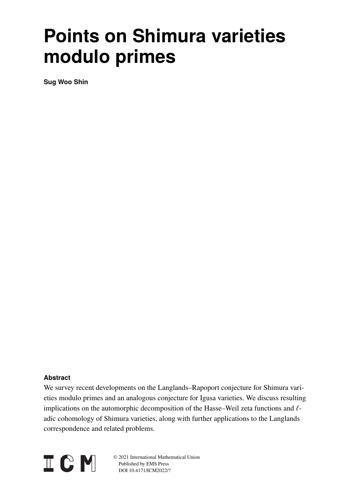# **Points on Shimura varieties modulo primes**

**Sug Woo Shin**

# **Abstract**

We survey recent developments on the Langlands–Rapoport conjecture for Shimura varieties modulo primes and an analogous conjecture for Igusa varieties. We discuss resulting implications on the automorphic decomposition of the Hasse–Weil zeta functions and  $\ell$ adic cohomology of Shimura varieties, along with further applications to the Langlands correspondence and related problems.



© 2021 International Mathematical Union Published by EMS Press DOI 10.4171/ICM2022/?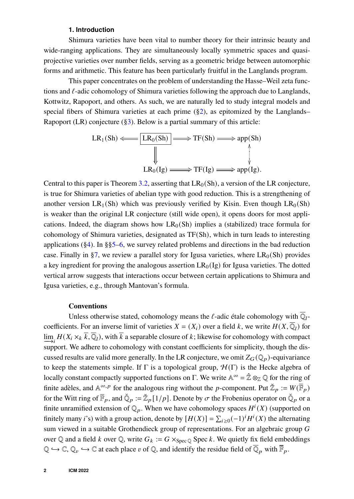## **1. Introduction**

<span id="page-1-0"></span>Shimura varieties have been vital to number theory for their intrinsic beauty and wide-ranging applications. They are simultaneously locally symmetric spaces and quasiprojective varieties over number fields, serving as a geometric bridge between automorphic forms and arithmetic. This feature has been particularly fruitful in the Langlands program.

This paper concentrates on the problem of understanding the Hasse–Weil zeta functions and  $\ell$ -adic cohomology of Shimura varieties following the approach due to Langlands, Kottwitz, Rapoport, and others. As such, we are naturally led to study integral models and special fibers of Shimura varieties at each prime  $(\S_2)$ , as epitomized by the Langlands– Rapoport (LR) conjecture ([§3\)](#page-3-0). Below is a partial summary of this article:

$$
LR_1(Sh) \xleftarrow{\text{LR}_0(Sh)} \longrightarrow TF(Sh) \longrightarrow \text{app}(Sh)
$$
  

$$
\downarrow \qquad \qquad \downarrow
$$
  

$$
LR_0(Ig) \longrightarrow TF(Ig) \longrightarrow \text{app}(Ig).
$$

Central to this paper is Theorem [3.2,](#page-5-0) asserting that  $LR_0(Sh)$ , a version of the LR conjecture, is true for Shimura varieties of abelian type with good reduction. This is a strengthening of another version  $LR_1(Sh)$  which was previously verified by Kisin. Even though  $LR_0(Sh)$ is weaker than the original LR conjecture (still wide open), it opens doors for most applications. Indeed, the diagram shows how  $LR_0(Sh)$  implies a (stabilized) trace formula for cohomology of Shimura varieties, designated as TF(Sh), which in turn leads to interesting applications  $(\S_4)$ . In  $\S_5$ –[6,](#page-11-0) we survey related problems and directions in the bad reduction case. Finally in [§7,](#page-13-0) we review a parallel story for Igusa varieties, where  $LR_0(Sh)$  provides a key ingredient for proving the analogous assertion  $LR_0(Ig)$  for Igusa varieties. The dotted vertical arrow suggests that interactions occur between certain applications to Shimura and Igusa varieties, e.g., through Mantovan's formula.

## **Conventions**

Unless otherwise stated, cohomology means the  $\ell$ -adic étale cohomology with  $\overline{\mathbb{Q}}_l$ coefficients. For an inverse limit of varieties  $X = (X_i)$  over a field k, we write  $H(X, \overline{Q}_l)$  for  $\lim_{\longrightarrow i} H(X_i \times_k \overline{k}, \overline{\mathbb{Q}}_l)$ , with  $\overline{k}$  a separable closure of  $k$ ; likewise for cohomology with compact support. We adhere to cohomology with constant coefficients for simplicity, though the discussed results are valid more generally. In the LR conjecture, we omit  $Z_G(\mathbb{Q}_p)$ -equivariance to keep the statements simple. If  $\Gamma$  is a topological group,  $\mathcal{H}(\Gamma)$  is the Hecke algebra of locally constant compactly supported functions on Γ. We write  $\mathbb{A}^{\infty} = \hat{\mathbb{Z}} \otimes_{\mathbb{Z}} \mathbb{Q}$  for the ring of finite adèles, and  $\mathbb{A}^{\infty,p}$  for the analogous ring without the p-component. Put  $\breve{\mathbb{Z}}_p := W(\overline{\mathbb{F}}_p)$ for the Witt ring of  $\bar{\mathbb{F}}_p$ , and  $\tilde{\mathbb{Q}}_p := \tilde{\mathbb{Z}}_p[1/p]$ . Denote by  $\sigma$  the Frobenius operator on  $\tilde{\mathbb{Q}}_p$  or a finite unramified extension of  $\mathbb{Q}_p$ . When we have cohomology spaces  $H^i(X)$  (supported on finitely many *i*'s) with a group action, denote by  $[H(X)] = \sum_{i \geq 0} (-1)^i H^i(X)$  the alternating sum viewed in a suitable Grothendieck group of representations. For an algebraic group  $G$ over Q and a field k over Q, write  $G_k := G \times_{Spec \, \mathbb{O}} Spec \, k$ . We quietly fix field embeddings  $\mathbb{Q} \hookrightarrow \mathbb{C}, \mathbb{Q}_v \hookrightarrow \mathbb{C}$  at each place v of  $\mathbb{Q}$ , and identify the residue field of  $\overline{\mathbb{Q}}_p$  with  $\overline{\mathbb{F}}_p$ .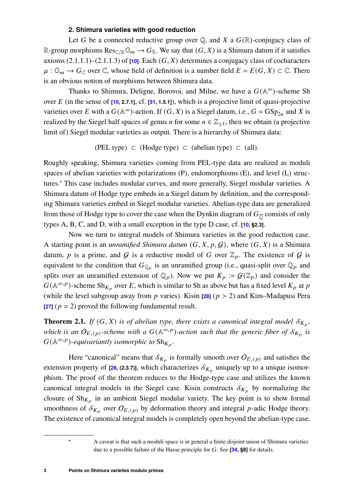## **2. Shimura varieties with good reduction**

<span id="page-2-0"></span>Let G be a connected reductive group over  $\mathbb Q$ , and X a  $G(\mathbb R)$ -conjugacy class of R-group morphisms  $\text{Res}_{\mathbb{C}/\mathbb{R}}\mathbb{G}_m \to G_{\mathbb{R}}$ . We say that  $(G, X)$  is a Shimura datum if it satisfies axioms  $(2.1.1.1)-(2.1.1.3)$  of  $[10]$ . Each  $(G, X)$  determines a conjugacy class of cocharacters  $\mu : \mathbb{G}_m \to G_{\mathbb{C}}$  over  $\mathbb{C}$ , whose field of definition is a number field  $E = E(G, X) \subset \mathbb{C}$ . There is an obvious notion of morphisms between Shimura data.

Thanks to Shimura, Deligne, Borovoi, and Milne, we have a  $G(\mathbb{A}^{\infty})$ -scheme Sh over  $E$  (in the sense of  $[10, 2.7.1]$  $[10, 2.7.1]$ , cf.  $[31, 1.5.1]$  $[31, 1.5.1]$ ), which is a projective limit of quasi-projective varieties over E with a  $G(A^{\infty})$ -action. If  $(G, X)$  is a Siegel datum, i.e.,  $G = GSp_{2n}$  and X is realized by the Siegel half spaces of genus *n* for some  $n \in \mathbb{Z}_{\geq 1}$ , then we obtain (a projective limit of) Siegel modular varieties as output. There is a hierarchy of Shimura data:

(PEL type) 
$$
\subset
$$
 (Hodge type)  $\subset$  (abelian type)  $\subset$  (all).

Roughly speaking, Shimura varieties coming from PEL-type data are realized as moduli spaces of abelian varieties with polarizations (P), endomorphisms (E), and level (L) structures.**[\\*](#page-2-1)** This case includes modular curves, and more generally, Siegel modular varieties. A Shimura datum of Hodge type embeds in a Siegel datum by definition, and the corresponding Shimura varieties embed in Siegel modular varieties. Abelian-type data are generalized from those of Hodge type to cover the case when the Dynkin diagram of  $G_{\overline{Q}}$  consists of only types A, B, C, and D, with a small exception in the type D case, cf. **[\[10,](#page-18-0) §2.3]**.

Now we turn to integral models of Shimura varieties in the good reduction case. A starting point is an *unramified Shimura datum*  $(G, X, p, G)$ , where  $(G, X)$  is a Shimura datum, p is a prime, and G is a reductive model of G over  $\mathbb{Z}_p$ . The existence of G is equivalent to the condition that  $G_{\mathbb{Q}_p}$  is an unramified group (i.e., quasi-split over  $\mathbb{Q}_p$  and splits over an unramified extension of  $\mathbb{Q}_p$ ). Now we put  $K_p := \mathcal{G}(\mathbb{Z}_p)$  and consider the  $G(\mathbb{A}^{\infty,p})$ -scheme Sh<sub>K<sub>p</sub></sub> over E, which is similar to Sh as above but has a fixed level  $K_p$  at p (while the level subgroup away from  $p$  varies). Kisin [\[28\]](#page-19-1) ( $p > 2$ ) and Kim–Madapusi Pera  $\left[\frac{27}{7}\right]$  ( $p = 2$ ) proved the following fundamental result.

<span id="page-2-2"></span>**Theorem 2.1.** *If*  $(G, X)$  *is of abelian type, there exists a canonical integral model*  $\mathcal{S}_{K_p}$ *,* which is an  $O_{E,(p)}$ -scheme with a  $G(\mathbb{A}^{\infty,p})$ -action such that the generic fiber of  $\mathcal{S}_{K_p}$  is  $G(\mathbb{A}^{\infty,p})$ -equivariantly isomorphic to  $\mathrm{Sh}_{K_p}$ .

Here "canonical" means that  $\mathcal{S}_{K_p}$  is formally smooth over  $O_{E,(p)}$  and satisfies the extension property of  $[28, (2.3.7)]$  $[28, (2.3.7)]$ , which characterizes  $\mathcal{S}_{K_p}$  uniquely up to a unique isomorphism. The proof of the theorem reduces to the Hodge-type case and utilizes the known canonical integral models in the Siegel case. Kisin constructs  $\mathcal{S}_{K_p}$  by normalizing the closure of  $\mathrm{Sh}_{K_p}$  in an ambient Siegel modular variety. The key point is to show formal smoothness of  $\mathcal{S}_{K_p}$  over  $O_{E,(p)}$  by deformation theory and integral p-adic Hodge theory. The existence of canonical integral models is completely open beyond the abelian-type case.

<span id="page-2-1"></span>**<sup>\*</sup>** A caveat is that such a moduli space is in general a finite disjoint union of Shimura varieties due to a possible failure of the Hasse principle for G. See [\[34,](#page-19-3) §8] for details.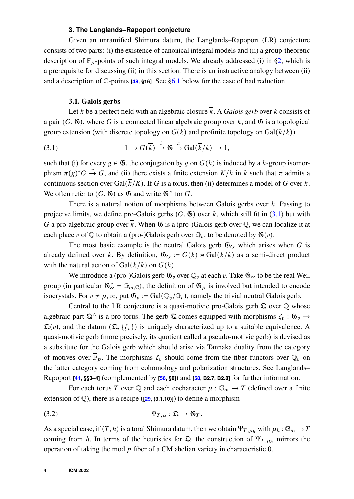## **3. The Langlands–Rapoport conjecture**

<span id="page-3-0"></span>Given an unramified Shimura datum, the Langlands–Rapoport (LR) conjecture consists of two parts: (i) the existence of canonical integral models and (ii) a group-theoretic description of  $\overline{\mathbb{F}}_p$ -points of such integral models. We already addressed (i) in [§2,](#page-2-0) which is a prerequisite for discussing (ii) in this section. There is an instructive analogy between (ii) and a description of  $\mathbb{C}$ -points **[\[48,](#page-20-0) §16]**. See [§6.1](#page-11-1) below for the case of bad reduction.

#### <span id="page-3-1"></span>**3.1. Galois gerbs**

Let k be a perfect field with an algebraic closure  $\overline{k}$ . A *Galois gerb* over k consists of a pair  $(G, \mathfrak{G})$ , where G is a connected linear algebraic group over  $\bar{k}$ , and  $\mathfrak{G}$  is a topological group extension (with discrete topology on  $G(\overline{k})$  and profinite topology on  $Gal(\overline{k}/k))$ 

(3.1) 
$$
1 \to G(\overline{k}) \xrightarrow{i} \mathfrak{G} \xrightarrow{\pi} \text{Gal}(\overline{k}/k) \to 1,
$$

such that (i) for every  $g \in \mathfrak{G}$ , the conjugation by g on  $G(\overline{k})$  is induced by a  $\overline{k}$ -group isomorphism  $\pi(g)^*G \stackrel{\sim}{\to} G$ , and (ii) there exists a finite extension  $K/k$  in  $\overline{k}$  such that  $\pi$  admits a continuous section over Gal( $\overline{k}/K$ ). If G is a torus, then (ii) determines a model of G over k. We often refer to  $(G, \mathfrak{G})$  as  $\mathfrak{G}$  and write  $\mathfrak{G}^{\Delta}$  for  $G$ .

There is a natural notion of morphisms between Galois gerbs over  $k$ . Passing to projecive limits, we define pro-Galois gerbs  $(G, \mathfrak{G})$  over k, which still fit in [\(3.1\)](#page-3-1) but with G a pro-algebraic group over  $\bar{k}$ . When 6 is a (pro-)Galois gerb over Q, we can localize it at each place v of  $\mathbb Q$  to obtain a (pro-)Galois gerb over  $\mathbb Q_v$ , to be denoted by  $\mathfrak G(v)$ .

The most basic example is the neutral Galois gerb  $\mathfrak{G}_G$  which arises when G is already defined over k. By definition,  $\mathfrak{G}_G := G(\overline{k}) \rtimes \text{Gal}(\overline{k}/k)$  as a semi-direct product with the natural action of Gal( $\overline{k}/k$ ) on  $G(k)$ .

We introduce a (pro-)Galois gerb  $\mathfrak{G}_v$  over  $\mathbb{Q}_v$  at each  $v$ . Take  $\mathfrak{G}_\infty$  to be the real Weil group (in particular  $\mathfrak{G}_{\infty}^{\Delta} = \mathbb{G}_{m,\mathbb{C}}$ ); the definition of  $\mathfrak{G}_p$  is involved but intended to encode isocrystals. For  $v \neq p$ ,  $\infty$ , put  $\mathfrak{G}_v := \text{Gal}(\overline{\mathbb{Q}}_v/\mathbb{Q}_v)$ , namely the trivial neutral Galois gerb.

Central to the LR conjecture is a quasi-motivic pro-Galois gerb  $\Omega$  over  $\mathbb Q$  whose algebraic part  $\mathfrak{Q}^{\Delta}$  is a pro-torus. The gerb  $\mathfrak Q$  comes equipped with morphisms  $\zeta_v : \mathfrak{G}_v \to$  $\mathfrak{Q}(v)$ , and the datum  $(\mathfrak{Q}, \{ \zeta_v \})$  is uniquely characterized up to a suitable equivalence. A quasi-motivic gerb (more precisely, its quotient called a pseudo-motivic gerb) is devised as a substitute for the Galois gerb which should arise via Tannaka duality from the category of motives over  $\bar{\mathbb{F}}_p$ . The morphisms  $\zeta_v$  should come from the fiber functors over  $\mathbb{Q}_v$  on the latter category coming from cohomology and polarization structures. See Langlands– Rapoport **[\[41,](#page-20-1) §§3–4]** (complemented by **[\[56,](#page-20-2) §8]**) and **[\[58,](#page-21-0) B2.7, B2.8]** for further information.

For each torus T over Q and each cocharacter  $\mu : \mathbb{G}_m \to T$  (defined over a finite extension of  $\mathbb{Q}$ ), there is a recipe ( $[29, (3.1.10)]$  $[29, (3.1.10)]$ ) to define a morphism

<span id="page-3-2"></span>
$$
\Psi_{T,\mu} : \mathfrak{Q} \to \mathfrak{G}_T.
$$

As a special case, if  $(T, h)$  is a toral Shimura datum, then we obtain  $\Psi_{T, \mu_h}$  with  $\mu_h : \mathbb{G}_m \to T$ coming from h. In terms of the heuristics for  $\mathfrak{Q}$ , the construction of  $\Psi_{T,\mu_h}$  mirrors the operation of taking the mod  $p$  fiber of a CM abelian variety in characteristic 0.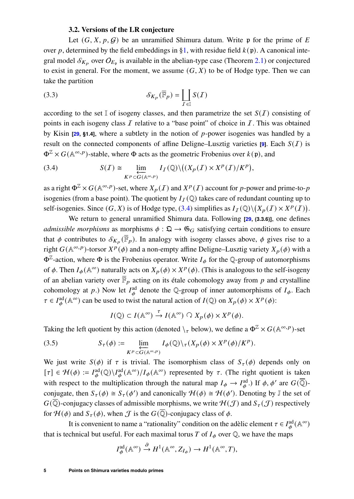## <span id="page-4-1"></span>**3.2. Versions of the LR conjecture**

Let  $(G, X, p, G)$  be an unramified Shimura datum. Write p for the prime of E over p, determined by the field embeddings in [§1,](#page-1-0) with residue field  $k(p)$ . A canonical integral model  $\mathcal{S}_{K_p}$  over  $O_{E_p}$  is available in the abelian-type case (Theorem [2.1\)](#page-2-2) or conjectured to exist in general. For the moment, we assume  $(G, X)$  to be of Hodge type. Then we can take the partition

(3.3) 
$$
\mathcal{S}_{K_p}(\overline{\mathbb{F}}_p) = \coprod_{\mathcal{I} \in \mathbb{I}} S(\mathcal{I})
$$

according to the set I of isogeny classes, and then parametrize the set  $S(I)$  consisting of points in each isogeny class  $I$  relative to a "base point" of choice in  $I$ . This was obtained by Kisin  $[29, 81.4]$  $[29, 81.4]$ , where a subtlety in the notion of  $p$ -power isogenies was handled by a result on the connected components of affine Deligne–Lusztig varieties **[\[9\]](#page-18-1)**. Each  $S(I)$  is  $\Phi^{\mathbb{Z}} \times G(\mathbb{A}^{\infty, p})$ -stable, where  $\Phi$  acts as the geometric Frobenius over  $k(\mathfrak{p})$ , and

<span id="page-4-0"></span>(3.4) 
$$
S(\mathcal{I}) \cong \lim_{\substack{K^p \subset G(\mathbb{A}^{\infty,p})}} I_{\mathcal{I}}(\mathbb{Q}) \setminus ((X_p(\mathcal{I}) \times X^p(\mathcal{I})/K^p),
$$

as a right  $\Phi^{\mathbb{Z}} \times G(\mathbb{A}^{\infty,p})$ -set, where  $X_p(I)$  and  $X^p(I)$  account for p-power and prime-to-p isogenies (from a base point). The quotient by  $I_I(\mathbb{Q})$  takes care of redundant counting up to self-isogenies. Since  $(G, X)$  is of Hodge type, [\(3.4\)](#page-4-0) simplifies as  $I_I(\mathbb{Q})\setminus (X_P(I) \times X^P(I)).$ 

We return to general unramified Shimura data. Following **[\[29,](#page-19-4) (3.3.6)]**, one defines *admissible morphisms* as morphisms  $\phi : \mathfrak{Q} \to \mathfrak{G}_G$  satisfying certain conditions to ensure that  $\phi$  contributes to  $\mathcal{S}_{K_p}(\overline{\mathbb{F}}_p)$ . In analogy with isogeny classes above,  $\phi$  gives rise to a right  $G(\mathbb{A}^{\infty,p})$ -torsor  $X^p(\phi)$  and a non-empty affine Deligne–Lusztig variety  $X_p(\phi)$  with a  $\Phi^{\mathbb{Z}}$ -action, where  $\Phi$  is the Frobenius operator. Write  $I_{\phi}$  for the Q-group of automorphisms of  $\phi$ . Then  $I_{\phi}(\mathbb{A}^{\infty})$  naturally acts on  $X_p(\phi) \times X^p(\phi)$ . (This is analogous to the self-isogeny of an abelian variety over  $\bar{\mathbb{F}}_p$  acting on its étale cohomology away from p and crystalline cohomology at p.) Now let  $I_{\phi}^{\text{ad}}$  denote the Q-group of inner automorphisms of  $I_{\phi}$ . Each  $\tau \in I_{\phi}^{\text{ad}}(\mathbb{A}^{\infty})$  can be used to twist the natural action of  $I(\mathbb{Q})$  on  $X_p(\phi) \times X^p(\phi)$ :

<span id="page-4-2"></span>
$$
I(\mathbb{Q}) \subset I(\mathbb{A}^{\infty}) \stackrel{\tau}{\to} I(\mathbb{A}^{\infty}) \cap X_p(\phi) \times X^p(\phi).
$$

Taking the left quotient by this action (denoted  $\chi_{\tau}$  below), we define a  $\Phi^{\mathbb{Z}} \times G(\mathbb{A}^{\infty, p})$ -set

(3.5) 
$$
S_{\tau}(\phi) := \lim_{\substack{K^p \subset G(\mathbb{A}^{\infty, p})}} I_{\phi}(\mathbb{Q}) \setminus \tau(X_p(\phi) \times X^p(\phi) / K^p).
$$

We just write  $S(\phi)$  if  $\tau$  is trivial. The isomorphism class of  $S_{\tau}(\phi)$  depends only on  $[\tau] \in \mathcal{H}(\phi) := I_{\phi}^{\text{ad}}(\mathbb{Q}) \setminus I_{\phi}^{\text{ad}}(\mathbb{A}^{\infty}) / I_{\phi}(\mathbb{A}^{\infty})$  represented by  $\tau$ . (The right quotient is taken with respect to the multiplication through the natural map  $I_{\phi} \to I_{\phi}^{\text{ad}}$ .) If  $\phi$ ,  $\phi'$  are  $G(\overline{\mathbb{Q}})$ conjugate, then  $S_{\tau}(\phi) \cong S_{\tau}(\phi')$  and canonically  $\mathcal{H}(\phi) \cong \mathcal{H}(\phi')$ . Denoting by J the set of  $G(\overline{\mathbb{Q}})$ -conjugacy classes of admissible morphisms, we write  $\mathcal{H}(\mathcal{J})$  and  $S_{\tau}(\mathcal{J})$  respectively for  $\mathcal{H}(\phi)$  and  $S_{\tau}(\phi)$ , when  $\mathcal J$  is the  $G(\overline{\mathbb Q})$ -conjugacy class of  $\phi$ .

It is convenient to name a "rationality" condition on the adèlic element  $\tau \in I_{\phi}^{\text{ad}}(\mathbb{A}^{\infty})$ that is technical but useful. For each maximal torus T of  $I_{\phi}$  over Q, we have the maps

$$
I_{\phi}^{\mathrm{ad}}(\mathbb{A}^{\infty}) \xrightarrow{\partial} H^{1}(\mathbb{A}^{\infty}, Z_{I_{\phi}}) \to H^{1}(\mathbb{A}^{\infty}, T),
$$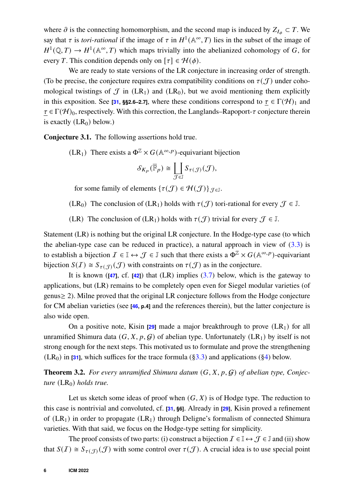where  $\partial$  is the connecting homomorphism, and the second map is induced by  $Z_{I_{\phi}} \subset T$ . We say that  $\tau$  is *tori-rational* if the image of  $\tau$  in  $H^1(\mathbb{A}^\infty, T)$  lies in the subset of the image of  $H^1(\mathbb{Q}, T) \to H^1(\mathbb{A}^\infty, T)$  which maps trivially into the abelianized cohomology of G, for every T. This condition depends only on  $[\tau] \in \mathcal{H}(\phi)$ .

We are ready to state versions of the LR conjecture in increasing order of strength. (To be precise, the conjecture requires extra compatibility conditions on  $\tau(\mathcal{J})$  under cohomological twistings of  $\mathcal{J}$  in (LR<sub>1</sub>) and (LR<sub>0</sub>), but we avoid mentioning them explicitly in this exposition. See **[\[31,](#page-19-0) §§2.6–2.7]**, where these conditions correspond to  $\tau \in \Gamma(\mathcal{H})_1$  and  $\tau \in \Gamma(\mathcal{H})_0$ , respectively. With this correction, the Langlands–Rapoport- $\tau$  conjecture therein is exactly  $(LR_0)$  below.)

<span id="page-5-1"></span>**Conjecture 3.1.** The following assertions hold true.

(LR<sub>1</sub>) There exists a  $\Phi^{\mathbb{Z}} \times G(\mathbb{A}^{\infty, p})$ -equivariant bijection

$$
\mathcal{S}_{K_p}(\overline{\mathbb{F}}_p) \cong \coprod_{\mathcal{J} \in \mathbb{J}} S_{\tau(\mathcal{J})}(\mathcal{J}),
$$

for some family of elements  $\{\tau(\mathcal{J}) \in \mathcal{H}(\mathcal{J})\}_{\mathcal{J} \in \mathbb{J}}$ .

(LR<sub>0</sub>) The conclusion of (LR<sub>1</sub>) holds with  $\tau(\mathcal{J})$  tori-rational for every  $\mathcal{J} \in \mathbb{J}$ .

(LR) The conclusion of (LR<sub>1</sub>) holds with  $\tau(\mathcal{J})$  trivial for every  $\mathcal{J} \in \mathbb{J}$ .

Statement (LR) is nothing but the original LR conjecture. In the Hodge-type case (to which the abelian-type case can be reduced in practice), a natural approach in view of  $(3.3)$  is to establish a bijection  $\mathcal{I} \in \mathbb{I} \leftrightarrow \mathcal{J} \in \mathbb{J}$  such that there exists a  $\Phi^{\mathbb{Z}} \times G(\mathbb{A}^{\infty, p})$ -equivariant bijection  $S(\mathcal{I}) \cong S_{\tau(\mathcal{I})}(\mathcal{J})$  with constraints on  $\tau(\mathcal{J})$  as in the conjecture.

It is known (**[\[47\]](#page-20-3)**, cf. **[\[42\]](#page-20-4)**) that (LR) implies [\(3.7\)](#page-6-0) below, which is the gateway to applications, but (LR) remains to be completely open even for Siegel modular varieties (of genus≥ 2). Milne proved that the original LR conjecture follows from the Hodge conjecture for CM abelian varieties (see **[\[46,](#page-20-5) p.4]** and the references therein), but the latter conjecture is also wide open.

On a positive note, Kisin  $[29]$  made a major breakthrough to prove  $(LR_1)$  for all unramified Shimura data  $(G, X, p, G)$  of abelian type. Unfortunately (LR<sub>1</sub>) by itself is not strong enough for the next steps. This motivated us to formulate and prove the strengthening  $(LR_0)$  in **[\[31\]](#page-19-0)**, which suffices for the trace formula ([§3.3\)](#page-6-1) and applications ([§4\)](#page-7-0) below.

<span id="page-5-0"></span>**Theorem 3.2.** For every unramified Shimura datum  $(G, X, p, G)$  of abelian type, Conjec*ture* (LR<sub>0</sub>) *holds true.* 

Let us sketch some ideas of proof when  $(G, X)$  is of Hodge type. The reduction to this case is nontrivial and convoluted, cf. **[\[31,](#page-19-0) §6]**. Already in **[\[29\]](#page-19-4)**, Kisin proved a refinement of  $(LR_1)$  in order to propagate  $(LR_1)$  through Deligne's formalism of connected Shimura varieties. With that said, we focus on the Hodge-type setting for simplicity.

The proof consists of two parts: (i) construct a bijection  $\mathcal{I} \in \mathbb{I} \leftrightarrow \mathcal{J} \in \mathbb{J}$  and (ii) show that  $S(\mathcal{I}) \cong S_{\tau(\mathcal{I})}(\mathcal{J})$  with some control over  $\tau(\mathcal{J})$ . A crucial idea is to use special point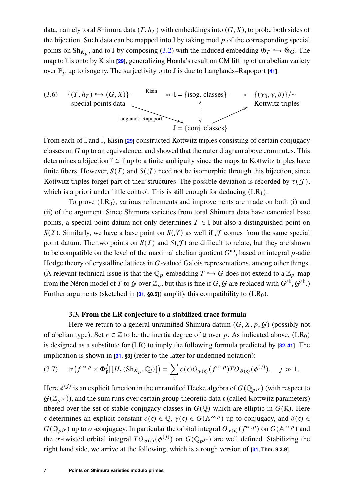data, namely toral Shimura data  $(T, h_T)$  with embeddings into  $(G, X)$ , to probe both sides of the bijection. Such data can be mapped into  $\mathbb{I}$  by taking mod p of the corresponding special points on  $\text{Sh}_{K_p}$ , and to J by composing [\(3.2\)](#page-3-2) with the induced embedding  $\mathfrak{G}_T \hookrightarrow \mathfrak{G}_G$ . The map to I is onto by Kisin **[\[29\]](#page-19-4)**, generalizing Honda's result on CM lifting of an abelian variety over  $\overline{\mathbb{F}}_p$  up to isogeny. The surjectivity onto J is due to Langlands–Rapoport [\[41\]](#page-20-1).



From each of I and J, Kisin **[\[29\]](#page-19-4)** constructed Kottwitz triples consisting of certain conjugacy classes on  $G$  up to an equivalence, and showed that the outer diagram above commutes. This determines a bijection  $\mathbb{I} \cong \mathbb{J}$  up to a finite ambiguity since the maps to Kottwitz triples have finite fibers. However,  $S(\mathcal{I})$  and  $S(\mathcal{J})$  need not be isomorphic through this bijection, since Kottwitz triples forget part of their structures. The possible deviation is recorded by  $\tau(\mathcal{J})$ , which is a priori under little control. This is still enough for deducing  $(LR_1)$ .

To prove  $(LR_0)$ , various refinements and improvements are made on both (i) and (ii) of the argument. Since Shimura varieties from toral Shimura data have canonical base points, a special point datum not only determines  $\mathcal{I} \in \mathbb{I}$  but also a distinguished point on  $S(I)$ . Similarly, we have a base point on  $S(J)$  as well if J comes from the same special point datum. The two points on  $S(I)$  and  $S(J)$  are difficult to relate, but they are shown to be compatible on the level of the maximal abelian quotient  $G^{ab}$ , based on integral p-adic Hodge theory of crystalline lattices in  $G$ -valued Galois representations, among other things. (A relevant technical issue is that the  $\mathbb{Q}_p$ -embedding  $T \hookrightarrow G$  does not extend to a  $\mathbb{Z}_p$ -map from the Néron model of T to G over  $\mathbb{Z}_p$ , but this is fine if  $G$ , G are replaced with  $G^{ab}$ ,  $G^{ab}$ .) Further arguments (sketched in  $[31, 80.5]$  $[31, 80.5]$ ) amplify this compatibility to  $(LR_0)$ .

## **3.3. From the LR conjecture to a stabilized trace formula**

<span id="page-6-1"></span>Here we return to a general unramified Shimura datum  $(G, X, p, G)$  (possibly not of abelian type). Set  $r \in \mathbb{Z}$  to be the inertia degree of p over p. As indicated above, (LR<sub>0</sub>) is designed as a substitute for (LR) to imply the following formula predicted by **[\[32,](#page-19-5)[41\]](#page-20-1)**. The implication is shown in **[\[31,](#page-19-0) §3]** (refer to the latter for undefined notation):

<span id="page-6-0"></span>(3.7) tr 𝑓 <sup>∞</sup>, 𝑝 × Φ 𝑗 𝔭 | [𝐻<sup>𝑐</sup> (Sh𝐾<sup>𝑝</sup> , Q<sup>𝑙</sup> )] = Õ 𝔠 𝑐(𝔠)𝑂𝛾(𝔠) ( 𝑓 <sup>∞</sup>, 𝑝)𝑇𝑂𝛿(𝔠) (<sup>𝜙</sup> ( 𝑗) ), 𝑗 1.

Here  $\phi^{(j)}$  is an explicit function in the unramified Hecke algebra of  $G(\mathbb{Q}_{p^j})$  (with respect to  $\mathcal{G}(\mathbb{Z}_{p^{j}})$ , and the sum runs over certain group-theoretic data c (called Kottwitz parameters) fibered over the set of stable conjugacy classes in  $G(\mathbb{Q})$  which are elliptic in  $G(\mathbb{R})$ . Here c determines an explicit constant  $c(\mathfrak{c}) \in \mathbb{Q}$ ,  $\gamma(\mathfrak{c}) \in G(\mathbb{A}^{\infty,p})$  up to conjugacy, and  $\delta(\mathfrak{c}) \in$  $G(\mathbb{Q}_{p^{j}})$  up to  $\sigma$ -conjugacy. In particular the orbital integral  $O_{\gamma(\mathfrak{c})}(f^{\infty,p})$  on  $G(\mathbb{A}^{\infty,p})$  and the  $\sigma$ -twisted orbital integral  $TO_{\delta(t)}(\phi^{(j)})$  on  $G(\mathbb{Q}_{p^{jr}})$  are well defined. Stabilizing the right hand side, we arrive at the following, which is a rough version of **[\[31,](#page-19-0) Thm. 9.3.9]**.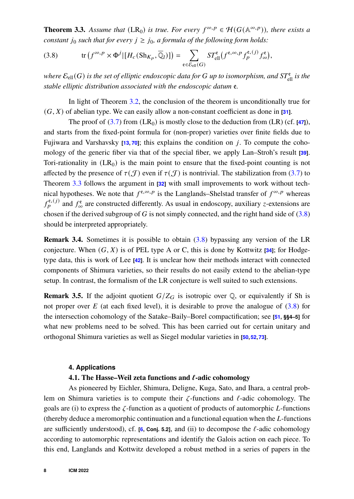<span id="page-7-1"></span>**Theorem 3.3.** Assume that  $(LR_0)$  is true. For every  $f^{\infty,p} \in \mathcal{H}(G(\mathbb{A}^{\infty,p}))$ , there exists a *constant*  $j_0$  *such that for every*  $j \geq j_0$ *, a formula of the following form holds:* 

<span id="page-7-2"></span>(3.8) 
$$
\operatorname{tr} (f^{\infty, p} \times \Phi^j | [H_c(\operatorname{Sh}_{K_p}, \overline{\mathbb{Q}}_l)] ) = \sum_{\mathfrak{e} \in \mathcal{E}_{\text{ell}}(G)} ST_{\text{ell}}^{\mathfrak{e}}(f^{\mathfrak{e}, \infty, p} f_p^{\mathfrak{e}, (j)} f_{\infty}^{\mathfrak{e}}),
$$

where  $\mathcal{E}_{\text{ell}}(G)$  is the set of elliptic endoscopic data for  $G$  up to isomorphism, and  $ST_{\text{ell}}^{\mathfrak{e}}$  is the *stable elliptic distribution associated with the endoscopic datum e.* 

In light of Theorem [3.2,](#page-5-0) the conclusion of the theorem is unconditionally true for  $(G, X)$  of abelian type. We can easily allow a non-constant coefficient as done in  $[31]$ .

The proof of  $(3.7)$  from  $(LR_0)$  is mostly close to the deduction from  $(LR)$  (cf. **[\[47\]](#page-20-3)**), and starts from the fixed-point formula for (non-proper) varieties over finite fields due to Fujiwara and Varshavsky  $\overline{13}$ ,  $\overline{701}$ ; this explains the condition on *i*. To compute the cohomology of the generic fiber via that of the special fiber, we apply Lan–Stroh's result **[\[39\]](#page-19-6)**. Tori-rationality in  $(LR_0)$  is the main point to ensure that the fixed-point counting is not affected by the presence of  $\tau(\mathcal{J})$  even if  $\tau(\mathcal{J})$  is nontrivial. The stabilization from [\(3.7\)](#page-6-0) to Theorem [3.3](#page-7-1) follows the argument in **[\[32\]](#page-19-5)** with small improvements to work without technical hypotheses. We note that  $f^{\mathfrak{e}, \infty, p}$  is the Langlands–Shelstad transfer of  $f^{\infty, p}$  whereas  $f_p^{\mathfrak{e},(j)}$  and  $f_\infty^{\mathfrak{e}}$  are constructed differently. As usual in endoscopy, auxiliary *z*-extensions are chosen if the derived subgroup of G is not simply connected, and the right hand side of  $(3.8)$ should be interpreted appropriately.

<span id="page-7-4"></span>**Remark 3.4.** Sometimes it is possible to obtain [\(3.8\)](#page-7-2) bypassing any version of the LR conjecture. When  $(G, X)$  is of PEL type A or C, this is done by Kottwitz [\[34\]](#page-19-3); for Hodgetype data, this is work of Lee **[\[42\]](#page-20-4)**. It is unclear how their methods interact with connected components of Shimura varieties, so their results do not easily extend to the abelian-type setup. In contrast, the formalism of the LR conjecture is well suited to such extensions.

**Remark 3.5.** If the adjoint quotient  $G/Z_G$  is isotropic over  $\mathbb{Q}$ , or equivalently if Sh is not proper over  $E$  (at each fixed level), it is desirable to prove the analogue of  $(3.8)$  for the intersection cohomology of the Satake–Baily–Borel compactification; see **[\[51,](#page-20-6) §§4–5]** for what new problems need to be solved. This has been carried out for certain unitary and orthogonal Shimura varieties as well as Siegel modular varieties in **[\[50,](#page-20-7)[52,](#page-20-8)[73\]](#page-21-2)**.

#### **4. Applications**

#### **4.1. The Hasse–Weil zeta functions and** ℓ**-adic cohomology**

<span id="page-7-3"></span><span id="page-7-0"></span>As pioneered by Eichler, Shimura, Deligne, Kuga, Sato, and Ihara, a central problem on Shimura varieties is to compute their  $\zeta$ -functions and  $\ell$ -adic cohomology. The goals are (i) to express the  $\zeta$ -function as a quotient of products of automorphic L-functions (thereby deduce a meromorphic continuation and a functional equation when the  $L$ -functions are sufficiently understood), cf. **[\[6,](#page-18-3) Conj. 5.2]**, and (ii) to decompose the  $\ell$ -adic cohomology according to automorphic representations and identify the Galois action on each piece. To this end, Langlands and Kottwitz developed a robust method in a series of papers in the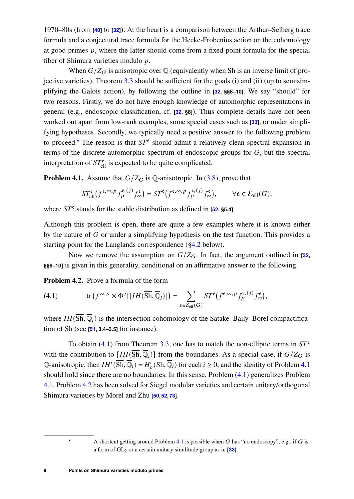1970–80s (from **[\[40\]](#page-20-9)** to **[\[32\]](#page-19-5)**). At the heart is a comparison between the Arthur–Selberg trace formula and a conjectural trace formula for the Hecke-Frobenius action on the cohomology at good primes  $p$ , where the latter should come from a fixed-point formula for the special fiber of Shimura varieties modulo  $p$ .

When  $G/Z_G$  is anisotropic over  $\mathbb{Q}$  (equivalently when Sh is an inverse limit of projective varieties), Theorem [3.3](#page-7-1) should be sufficient for the goals (i) and (ii) (up to semisimplifying the Galois action), by following the outline in **[\[32,](#page-19-5) §§8–10]**. We say "should" for two reasons. Firstly, we do not have enough knowledge of automorphic representations in general (e.g., endoscopic classification, cf. **[\[32,](#page-19-5) §8]**). Thus complete details have not been worked out apart from low-rank examples, some special cases such as **[\[33\]](#page-19-7)**, or under simplifying hypotheses. Secondly, we typically need a positive answer to the following problem to proceed.<sup>[\\*](#page-8-0)</sup> The reason is that  $ST^e$  should admit a relatively clean spectral expansion in terms of the discrete automorphic spectrum of endoscopic groups for  $G$ , but the spectral interpretation of  $ST_{\text{ell}}^{\text{e}}$  is expected to be quite complicated.

<span id="page-8-2"></span>**Problem 4.1.** Assume that  $G/Z_G$  is Q-anisotropic. In [\(3.8\)](#page-7-2), prove that

$$
ST^{\mathfrak{e}}_{\text{ell}}(f^{\mathfrak{e},\infty,p}f^{\mathfrak{e},(j)}_p f^{\mathfrak{e}}_\infty) = ST^{\mathfrak{e}}(f^{\mathfrak{e},\infty,p}f^{\mathfrak{e},(j)}_p f^{\mathfrak{e}}_\infty), \qquad \forall \mathfrak{e} \in \mathcal{E}_{\text{ell}}(G),
$$

where  $ST^e$  stands for the stable distribution as defined in  $[52, §5.4]$  $[52, §5.4]$ .

Although this problem is open, there are quite a few examples where it is known either by the nature of  $G$  or under a simplifying hypothesis on the test function. This provides a starting point for the Langlands correspondence ([§4.2](#page-9-0) below).

Now we remove the assumption on  $G/Z_G$ . In fact, the argument outlined in **[\[32,](#page-19-5) §§8–10]** is given in this generality, conditional on an affirmative answer to the following.

<span id="page-8-3"></span>**Problem 4.2.** Prove a formula of the form

<span id="page-8-1"></span>(4.1) 
$$
\text{tr}\left(f^{\infty,p}\times\Phi^j|[IH(\overline{\text{Sh}},\overline{\mathbb{Q}}_l)]\right)=\sum_{e\in\mathcal{E}_{\text{ell}}(G)}ST^e\big(f^{e,\infty,p}f_p^{e,(j)}f^e_{\infty}\big),
$$

where  $IH(\overline{Sh}, \overline{Q}_l)$  is the intersection cohomology of the Satake–Baily–Borel compactification of Sh (see **[\[51,](#page-20-6) 3.4–3.5]** for instance).

To obtain [\(4.1\)](#page-8-1) from Theorem [3.3,](#page-7-1) one has to match the non-elliptic terms in  $ST^e$ with the contribution to  $[IH(\overline{Sh}, \overline{Q}_l)]$  from the boundaries. As a special case, if  $G/Z_G$  is Q-anisotropic, then  $IH^i(\overline{Sh},\overline{Q}_l)=H^i_c(Sh,\overline{Q}_l)$  for each  $i\geq 0$ , and the identity of Problem [4.1](#page-8-2) should hold since there are no boundaries. In this sense, Problem [\(4.1\)](#page-8-1) generalizes Problem [4.1.](#page-8-2) Problem [4.2](#page-8-3) has been solved for Siegel modular varieties and certain unitary/orthogonal Shimura varieties by Morel and Zhu **[\[50,](#page-20-7)[52,](#page-20-8)[73\]](#page-21-2)**.

<span id="page-8-0"></span>A shortcut getting around Problem  $4.1$  is possible when G has "no endoscopy", e.g., if G is a form of GL<sup>2</sup> or a certain unitary similitude group as in **[\[33\]](#page-19-7)**.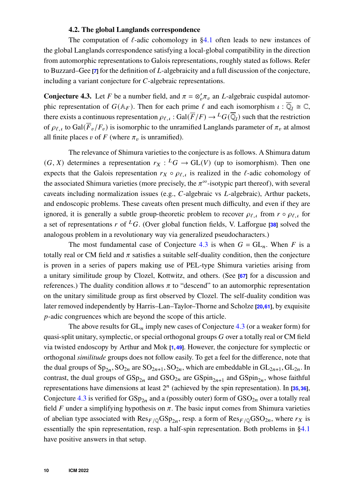## **4.2. The global Langlands correspondence**

<span id="page-9-0"></span>The computation of  $\ell$ -adic cohomology in [§4.1](#page-7-3) often leads to new instances of the global Langlands correspondence satisfying a local-global compatibility in the direction from automorphic representations to Galois representations, roughly stated as follows. Refer to Buzzard–Gee **[\[7\]](#page-18-4)** for the definition of *L*-algebraicity and a full discussion of the conjecture, including a variant conjecture for  $C$ -algebraic representations.

<span id="page-9-1"></span>**Conjecture 4.3.** Let F be a number field, and  $\pi = \otimes'_v \pi_v$  an L-algebraic cuspidal automorphic representation of  $G(\mathbb{A}_F)$ . Then for each prime  $\ell$  and each isomorphism  $\iota : \overline{\mathbb{Q}}_l \cong \mathbb{C}$ , there exists a continuous representation  $\rho_{\ell,\iota}$  : Gal( $\overline{F}/F$ )  $\to {}^L G(\overline{\mathbb{Q}}_l)$  such that the restriction of  $\rho_{\ell,t}$  to Gal( $\overline{F}_v/F_v$ ) is isomorphic to the unramified Langlands parameter of  $\pi_v$  at almost all finite places  $v$  of  $F$  (where  $\pi_v$  is unramified).

The relevance of Shimura varieties to the conjecture is as follows. A Shimura datum  $(G, X)$  determines a representation  $r_X : {}^L G \to GL(V)$  (up to isomorphism). Then one expects that the Galois representation  $r_X \circ \rho_{\ell, \iota}$  is realized in the  $\ell$ -adic cohomology of the associated Shimura varieties (more precisely, the  $\pi^{\infty}$ -isotypic part thereof), with several caveats including normalization issues (e.g.,  $C$ -algebraic vs  $L$ -algebraic), Arthur packets, and endoscopic problems. These caveats often present much difficulty, and even if they are ignored, it is generally a subtle group-theoretic problem to recover  $\rho_{\ell,i}$  from  $r \circ \rho_{\ell,i}$  for a set of representations  $r$  of <sup>L</sup>G. (Over global function fields, V. Lafforgue [\[38\]](#page-19-8) solved the analogous problem in a revolutionary way via generalized pseudocharacters.)

The most fundamental case of Conjecture [4.3](#page-9-1) is when  $G = GL_n$ . When F is a totally real or CM field and  $\pi$  satisfies a suitable self-duality condition, then the conjecture is proven in a series of papers making use of PEL-type Shimura varieties arising from a unitary similitude group by Clozel, Kottwitz, and others. (See **[\[67\]](#page-21-3)** for a discussion and references.) The duality condition allows  $\pi$  to "descend" to an automorphic representation on the unitary similitude group as first observed by Clozel. The self-duality condition was later removed independently by Harris–Lan–Taylor–Thorne and Scholze **[\[20,](#page-18-5)[61\]](#page-21-4)**, by exquisite  $p$ -adic congruences which are beyond the scope of this article.

The above results for  $GL_n$  imply new cases of Conjecture [4.3](#page-9-1) (or a weaker form) for quasi-split unitary, symplectic, or special orthogonal groups  $G$  over a totally real or CM field via twisted endoscopy by Arthur and Mok **[\[1,](#page-17-0)[49\]](#page-20-10)**. However, the conjecture for symplectic or orthogonal *similitude* groups does not follow easily. To get a feel for the difference, note that the dual groups of  $Sp_{2n}$ ,  $SO_{2n}$  are  $SO_{2n+1}$ ,  $SO_{2n}$ , which are embeddable in  $GL_{2n+1}$ ,  $GL_{2n}$ . In contrast, the dual groups of  $GSp_{2n}$  and  $GSO_{2n}$  are  $GSpin_{2n+1}$  and  $GSpin_{2n}$ , whose faithful representations have dimensions at least  $2^n$  (achieved by the spin representation). In [\[35,](#page-19-9)[36\]](#page-19-10), Conjecture [4.3](#page-9-1) is verified for  $GSp_{2n}$  and a (possibly outer) form of  $GSO_{2n}$  over a totally real field  $F$  under a simplifying hypothesis on  $\pi$ . The basic input comes from Shimura varieties of abelian type associated with  $\text{Res}_{F/\mathbb{Q}}(\text{GSp}_{2n})$ , resp. a form of  $\text{Res}_{F/\mathbb{Q}}(\text{GSO}_{2n})$ , where  $r_X$  is essentially the spin representation, resp. a half-spin representation. Both problems in [§4.1](#page-7-3) have positive answers in that setup.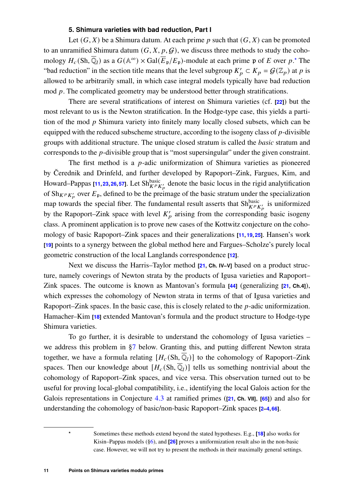## **5. Shimura varieties with bad reduction, Part I**

<span id="page-10-0"></span>Let  $(G, X)$  be a Shimura datum. At each prime p such that  $(G, X)$  can be promoted to an unramified Shimura datum  $(G, X, p, G)$ , we discuss three methods to study the cohomology  $H_c(\text{Sh}, \overline{\mathbb{Q}}_l)$  as a  $G(\mathbb{A}^{\infty}) \times \text{Gal}(\overline{E}_{\mathfrak{p}}/E_{\mathfrak{p}})$ -module at each prime p of E over p.[\\*](#page-10-1) The "bad reduction" in the section title means that the level subgroup  $K'_p \subset K_p = \mathcal{G}(\mathbb{Z}_p)$  at p is allowed to be arbitrarily small, in which case integral models typically have bad reduction mod  $p$ . The complicated geometry may be understood better through stratifications.

There are several stratifications of interest on Shimura varieties (cf. **[\[22\]](#page-19-11)**) but the most relevant to us is the Newton stratification. In the Hodge-type case, this yields a partition of the mod  $\nu$  Shimura variety into finitely many locally closed subsets, which can be equipped with the reduced subscheme structure, according to the isogeny class of  $p$ -divisible groups with additional structure. The unique closed stratum is called the *basic* stratum and corresponds to the  $p$ -divisible group that is "most supersingular" under the given constraint.

The first method is a  $p$ -adic uniformization of Shimura varieties as pioneered by Čerednik and Drinfeld, and further developed by Rapoport–Zink, Fargues, Kim, and Howard–Pappas **[\[11,](#page-18-6)[23,](#page-19-12) [26,](#page-19-13) [57\]](#page-20-11)**. Let Sh $_{KPK_p}^{\text{basic}}$  denote the basic locus in the rigid analytification of Sh<sub>KPK'</sub> over  $E_p$ , defined to be the preimage of the basic stratum under the specialization map towards the special fiber. The fundamental result asserts that  $\text{Sh}_{K^pK'_p}^{\text{basic}}$  is uniformized by the Rapoport–Zink space with level  $K'_{p}$  arising from the corresponding basic isogeny class. A prominent application is to prove new cases of the Kottwitz conjecture on the cohomology of basic Rapoport–Zink spaces and their generalizations **[\[11,](#page-18-6) [19,](#page-18-7) [25\]](#page-19-14)**. Hansen's work **[\[19\]](#page-18-7)** points to a synergy between the global method here and Fargues–Scholze's purely local geometric construction of the local Langlands correspondence **[\[12\]](#page-18-8)**.

Next we discuss the Harris–Taylor method **[\[21,](#page-19-15) Ch. IV–V]** based on a product structure, namely coverings of Newton strata by the products of Igusa varieties and Rapoport– Zink spaces. The outcome is known as Mantovan's formula **[\[44\]](#page-20-12)** (generalizing **[\[21,](#page-19-15) Ch.4]**), which expresses the cohomology of Newton strata in terms of that of Igusa varieties and Rapoport–Zink spaces. In the basic case, this is closely related to the  $p$ -adic uniformization. Hamacher–Kim **[\[18\]](#page-18-9)** extended Mantovan's formula and the product structure to Hodge-type Shimura varieties.

To go further, it is desirable to understand the cohomology of Igusa varieties – we address this problem in [§7](#page-13-0) below. Granting this, and putting different Newton strata together, we have a formula relating  $[H_c(\mathrm{Sh}, \overline{\mathbb{Q}}_l)]$  to the cohomology of Rapoport–Zink spaces. Then our knowledge about  $[H_c(\mathrm{Sh}, \overline{\mathbb{Q}}_l)]$  tells us something nontrivial about the cohomology of Rapoport–Zink spaces, and vice versa. This observation turned out to be useful for proving local-global compatibility, i.e., identifying the local Galois action for the Galois representations in Conjecture [4.3](#page-9-1) at ramified primes (**[\[21,](#page-19-15) Ch. VII]**, **[\[65\]](#page-21-5)**) and also for understanding the cohomology of basic/non-basic Rapoport–Zink spaces **[\[2](#page-17-1)[–4,](#page-18-10)[66\]](#page-21-6)**.

> <span id="page-10-1"></span>**\*** Sometimes these methods extend beyond the stated hypotheses. E.g., **[\[18\]](#page-18-9)** also works for Kisin–Pappas models ([§6\)](#page-11-0), and **[\[26\]](#page-19-13)** proves a uniformization result also in the non-basic case. However, we will not try to present the methods in their maximally general settings.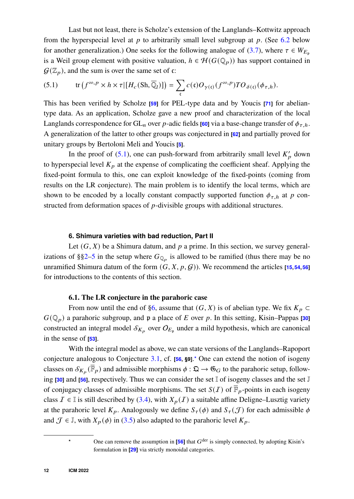Last but not least, there is Scholze's extension of the Langlands–Kottwitz approach from the hyperspecial level at  $p$  to arbitrarily small level subgroup at  $p$ . (See [6.2](#page-12-0) below for another generalization.) One seeks for the following analogue of [\(3.7\)](#page-6-0), where  $\tau \in W_{E_n}$ is a Weil group element with positive valuation,  $h \in \mathcal{H}(G(\mathbb{Q}_p))$  has support contained in  $\mathcal{G}(\mathbb{Z}_n)$ , and the sum is over the same set of  $\mathfrak{c}$ :

<span id="page-11-2"></span>(5.1) 
$$
\operatorname{tr} (f^{\infty, p} \times h \times \tau | [H_c(\mathrm{Sh}, \overline{\mathbb{Q}}_l)] ) = \sum_{\mathfrak{c}} c(\mathfrak{c}) O_{\gamma(\mathfrak{c})}(f^{\infty, p}) T O_{\delta(\mathfrak{c})}(\phi_{\tau, h}).
$$

This has been verified by Scholze **[\[59\]](#page-21-7)** for PEL-type data and by Youcis **[\[71\]](#page-21-8)** for abeliantype data. As an application, Scholze gave a new proof and characterization of the local Langlands correspondence for  $GL_n$  over p-adic fields **[\[60\]](#page-21-9)** via a base-change transfer of  $\phi_{\tau,h}$ . A generalization of the latter to other groups was conjectured in **[\[62\]](#page-21-10)** and partially proved for unitary groups by Bertoloni Meli and Youcis **[\[5\]](#page-18-11)**.

In the proof of  $(5.1)$ , one can push-forward from arbitrarily small level  $K_p'$  down to hyperspecial level  $K_p$  at the expense of complicating the coefficient sheaf. Applying the fixed-point formula to this, one can exploit knowledge of the fixed-points (coming from results on the LR conjecture). The main problem is to identify the local terms, which are shown to be encoded by a locally constant compactly supported function  $\phi_{\tau h}$  at p constructed from deformation spaces of  $p$ -divisible groups with additional structures.

#### **6. Shimura varieties with bad reduction, Part II**

<span id="page-11-0"></span>Let  $(G, X)$  be a Shimura datum, and  $p$  a prime. In this section, we survey general-izations of §[§2–](#page-2-0)[5](#page-10-0) in the setup where  $G_{\mathbb{Q}_p}$  is allowed to be ramified (thus there may be no unramified Shimura datum of the form  $(G, X, p, G)$ ). We recommend the articles [\[15,](#page-18-12) [54,](#page-20-13) [56\]](#page-20-2) for introductions to the contents of this section.

## **6.1. The LR conjecture in the parahoric case**

<span id="page-11-1"></span>From now until the end of [§6,](#page-11-0) assume that  $(G, X)$  is of abelian type. We fix  $K_p \subset$  $G(\mathbb{Q}_p)$  a parahoric subgroup, and p a place of E over p. In this setting, Kisin–Pappas [\[30\]](#page-19-16) constructed an integral model  $\mathcal{S}_{K_p}$  over  $O_{E_p}$  under a mild hypothesis, which are canonical in the sense of **[\[53\]](#page-20-14)**.

With the integral model as above, we can state versions of the Langlands–Rapoport conjecture analogous to Conjecture [3.1,](#page-5-1) cf. **[\[56,](#page-20-2) §9]**.**[\\*](#page-11-3)** One can extend the notion of isogeny classes on  $\mathcal{S}_{K_p}(\overline{\mathbb{F}}_p)$  and admissible morphisms  $\phi : \mathfrak{Q} \to \mathfrak{G}_G$  to the parahoric setup, following **[\[30\]](#page-19-16)** and **[\[56\]](#page-20-2)**, respectively. Thus we can consider the set I of isogeny classes and the set J of conjugacy classes of admissible morphisms. The set  $S(I)$  of  $\overline{F}_p$ -points in each isogeny class  $\mathcal{I} \in \mathbb{I}$  is still described by [\(3.4\)](#page-4-0), with  $X_p(\mathcal{I})$  a suitable affine Deligne–Lusztig variety at the parahoric level  $K_p$ . Analogously we define  $S_{\tau}(\phi)$  and  $S_{\tau}(J)$  for each admissible  $\phi$ and  $\mathcal{J} \in \mathbb{J}$ , with  $X_p(\phi)$  in [\(3.5\)](#page-4-2) also adapted to the parahoric level  $K_p$ .

<span id="page-11-3"></span><sup>&</sup>lt;sup>\*</sup> One can remove the assumption in  $[56]$  that  $G^{\text{der}}$  is simply connected, by adopting Kisin's formulation in **[\[29\]](#page-19-4)** via strictly monoidal categories.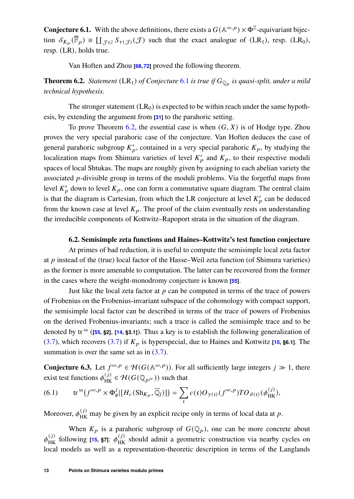<span id="page-12-1"></span>**Conjecture 6.1.** With the above definitions, there exists a  $G(\mathbb{A}^{\infty,p}) \times \Phi^{\mathbb{Z}}$ -equivariant bijection  $\mathcal{S}_{K_p}(\overline{\mathbb{F}}_p) \cong \coprod_{\mathcal{J} \in \mathbb{J}} \mathcal{S}_{\tau(\mathcal{J})}(\mathcal{J})$  such that the exact analogue of  $(LR_1)$ , resp.  $(LR_0)$ , resp. (LR), holds true.

Van Hoften and Zhou **[\[68,](#page-21-11)[72\]](#page-21-12)** proved the following theorem.

<span id="page-12-2"></span>**Theorem 6.2.** *Statement* (LR<sub>1</sub>) *of Conjecture* [6.1](#page-12-1) *is true if*  $G_{\mathbb{Q}_p}$  *is quasi-split, under a mild technical hypothesis.*

The stronger statement  $(LR_0)$  is expected to be within reach under the same hypothesis, by extending the argument from **[\[31\]](#page-19-0)** to the parahoric setting.

To prove Theorem [6.2,](#page-12-2) the essential case is when  $(G, X)$  is of Hodge type. Zhou proves the very special parahoric case of the conjecture. Van Hoften deduces the case of general parahoric subgroup  $K'_p$ , contained in a very special parahoric  $K_p$ , by studying the localization maps from Shimura varieties of level  $K'_p$  and  $K_p$ , to their respective moduli spaces of local Shtukas. The maps are roughly given by assigning to each abelian variety the associated  $p$ -divisible group in terms of the moduli problems. Via the forgetful maps from level  $K'_p$  down to level  $K_p$ , one can form a commutative square diagram. The central claim is that the diagram is Cartesian, from which the LR conjecture at level  $K_p'$  can be deduced from the known case at level  $K_p$ . The proof of the claim eventually rests on understanding the irreducible components of Kottwitz–Rapoport strata in the situation of the diagram.

#### **6.2. Semisimple zeta functions and Haines–Kottwitz's test function conjecture**

<span id="page-12-0"></span>At primes of bad reduction, it is useful to compute the semisimple local zeta factor at  $\nu$  instead of the (true) local factor of the Hasse–Weil zeta function (of Shimura varieties) as the former is more amenable to computation. The latter can be recovered from the former in the cases where the weight-monodromy conjecture is known **[\[55\]](#page-20-15)**.

Just like the local zeta factor at  $p$  can be computed in terms of the trace of powers of Frobenius on the Frobenius-invariant subspace of the cohomology with compact support, the semisimple local factor can be described in terms of the trace of powers of Frobenius on the derived Frobenius-invariants; such a trace is called the semisimple trace and to be denoted by tr ss (**[\[55,](#page-20-15) §2]**, **[\[14,](#page-18-13) §3.1]**). Thus a key is to establish the following generalization of [\(3.7\)](#page-6-0), which recovers (3.7) if  $K_p$  is hyperspecial, due to Haines and Kottwitz [\[15,](#page-18-12) **§6.1**]. The summation is over the same set as in  $(3.7)$ .

<span id="page-12-3"></span>**Conjecture 6.3.** Let  $f^{\infty, p} \in \mathcal{H}(G(\mathbb{A}^{\infty, p}))$ . For all sufficiently large integers  $j \gg 1$ , there exist test functions  $\phi_{HK}^{(j)} \in \mathcal{H}(G(\mathbb{Q}_{p^{jr}}))$  such that

(6.1) 
$$
\text{tr}^{\text{ss}}\big(f^{\infty,p}\times\Phi_{\mathfrak{p}}^j\big|\big[H_c\big(\text{Sh}_{K_p},\overline{\mathbb{Q}}_l\big)\big]\big)=\sum_{\mathfrak{c}}c(\mathfrak{c})O_{\gamma(\mathfrak{c})}(f^{\infty,p})TO_{\delta(\mathfrak{c})}(\phi_{\text{HK}}^{(j)}),
$$

Moreover,  $\phi_{HK}^{(j)}$  may be given by an explicit recipe only in terms of local data at p.

When  $K_p$  is a parahoric subgroup of  $G(\mathbb{Q}_p)$ , one can be more concrete about  $\phi_{HK}^{(j)}$  following [\[15,](#page-18-12) **§7**]:  $\phi_{HK}^{(j)}$  should admit a geometric construction via nearby cycles on local models as well as a representation-theoretic description in terms of the Langlands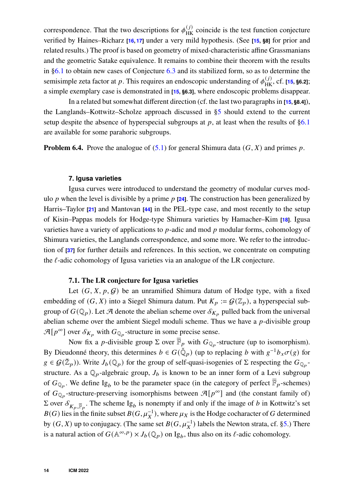correspondence. That the two descriptions for  $\phi_{HK}^{(j)}$  coincide is the test function conjecture verified by Haines–Richarz **[\[16,](#page-18-14) [17\]](#page-18-15)** under a very mild hypothesis. (See **[\[15,](#page-18-12) §8]** for prior and related results.) The proof is based on geometry of mixed-characteristic affine Grassmanians and the geometric Satake equivalence. It remains to combine their theorem with the results in [§6.1](#page-11-1) to obtain new cases of Conjecture [6.3](#page-12-3) and its stabilized form, so as to determine the semisimple zeta factor at p. This requires an endoscopic understanding of  $\phi_{HK}^{(j)}$ , cf. [\[15,](#page-18-12) **§6.2]**; a simple exemplary case is demonstrated in **[\[15,](#page-18-12) §6.3]**, where endoscopic problems disappear.

In a related but somewhat different direction (cf. the last two paragraphs in **[\[15,](#page-18-12) §8.4]**), the Langlands–Kottwitz–Scholze approach discussed in [§5](#page-10-0) should extend to the current setup despite the absence of hyperspecial subgroups at  $p$ , at least when the results of  $\S6.1$ are available for some parahoric subgroups.

**Problem 6.4.** Prove the analogue of  $(5.1)$  for general Shimura data  $(G, X)$  and primes p.

#### **7. Igusa varieties**

<span id="page-13-0"></span>Igusa curves were introduced to understand the geometry of modular curves modulo p when the level is divisible by a prime  $p$  **[\[24\]](#page-19-17)**. The construction has been generalized by Harris–Taylor **[\[21\]](#page-19-15)** and Mantovan **[\[44\]](#page-20-12)** in the PEL-type case, and most recently to the setup of Kisin–Pappas models for Hodge-type Shimura varieties by Hamacher–Kim **[\[18\]](#page-18-9)**. Igusa varieties have a variety of applications to  $p$ -adic and mod  $p$  modular forms, cohomology of Shimura varieties, the Langlands correspondence, and some more. We refer to the introduction of **[\[37\]](#page-19-18)** for further details and references. In this section, we concentrate on computing the  $\ell$ -adic cohomology of Igusa varieties via an analogue of the LR conjecture.

#### **7.1. The LR conjecture for Igusa varieties**

<span id="page-13-1"></span>Let  $(G, X, p, G)$  be an unramified Shimura datum of Hodge type, with a fixed embedding of  $(G, X)$  into a Siegel Shimura datum. Put  $K_p := \mathcal{G}(\mathbb{Z}_p)$ , a hyperspecial subgroup of  $G(\mathbb{Q}_p)$ . Let A denote the abelian scheme over  $\mathcal{S}_{K_p}$  pulled back from the universal abelian scheme over the ambient Siegel moduli scheme. Thus we have a  $p$ -divisible group  $\mathcal{A}[p^{\infty}]$  over  $\mathcal{S}_{K_p}$  with  $G_{\mathbb{Q}_p}$ -structure in some precise sense.

Now fix a *p*-divisible group  $\Sigma$  over  $\overline{\mathbb{F}}_p$  with  $G_{\mathbb{Q}_p}$ -structure (up to isomorphism). By Dieudonné theory, this determines  $b \in G(\check{Q}_p)$  (up to replacing b with  $g^{-1}b_x\sigma(g)$  for  $g \in \mathcal{G}(\mathbb{Z}_p)$ ). Write  $J_b(\mathbb{Q}_p)$  for the group of self-quasi-isogenies of  $\Sigma$  respecting the  $G_{\mathbb{Q}_p}$ structure. As a  $\mathbb{Q}_p$ -algebraic group,  $J_b$  is known to be an inner form of a Levi subgroup of  $G_{\mathbb{Q}_p}$ . We define Ig<sub>b</sub> to be the parameter space (in the category of perfect  $\overline{\mathbb{F}}_p$ -schemes) of  $G_{\mathbb{Q}_p}$ -structure-preserving isomorphisms between  $\mathcal{A}[p^{\infty}]$  and (the constant family of)  $\Sigma$  over  $\mathcal{S}_{K_p, \overline{\mathbb{F}}_p}$ . The scheme Ig<sub>b</sub> is nonempty if and only if the image of *b* in Kottwitz's set  $B(G)$  lies in the finite subset  $B(G, \mu_X^{-1})$ , where  $\mu_X$  is the Hodge cocharacter of G determined by  $(G, X)$  up to conjugacy. (The same set  $B(G, \mu_X^{-1})$  labels the Newton strata, cf. [§5.](#page-10-0)) There is a natural action of  $G(\mathbb{A}^{\infty,p}) \times J_b(\mathbb{Q}_p)$  on Ig<sub>b</sub>, thus also on its  $\ell$ -adic cohomology.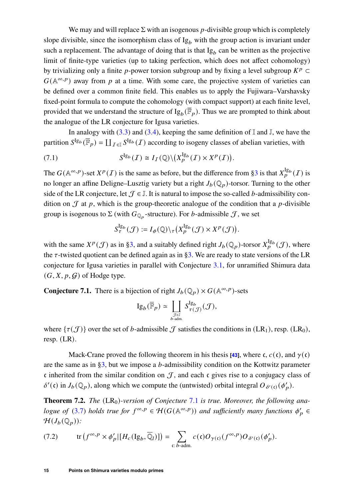We may and will replace  $\Sigma$  with an isogenous p-divisible group which is completely slope divisible, since the isomorphism class of  $Ig_b$  with the group action is invariant under such a replacement. The advantage of doing that is that  $Ig_b$  can be written as the projective limit of finite-type varieties (up to taking perfection, which does not affect cohomology) by trivializing only a finite p-power torsion subgroup and by fixing a level subgroup  $K^p \subset$  $G(\mathbb{A}^{\infty,p})$  away from p at a time. With some care, the projective system of varieties can be defined over a common finite field. This enables us to apply the Fujiwara–Varshavsky fixed-point formula to compute the cohomology (with compact support) at each finite level, provided that we understand the structure of  $\mathrm{Ig}_b(\overline{\mathbb{F}}_p)$ . Thus we are prompted to think about the analogue of the LR conjecture for Igusa varieties.

In analogy with  $(3.3)$  and  $(3.4)$ , keeping the same definition of I and I, we have the partition  $S^{Ig_b}(\bar{\mathbb{F}}_p) = \coprod_{\mathcal{I} \in \mathbb{I}} S^{Ig_b}(\mathcal{I})$  according to isogeny classes of abelian varieties, with

(7.1) 
$$
S^{\mathrm{Ig}_b}(I) \cong I_I(\mathbb{Q}) \backslash (X_p^{\mathrm{Ig}_b}(I) \times X^p(I)).
$$

The  $G(\mathbb{A}^{\infty,p})$ -set  $X^p(I)$  is the same as before, but the difference from [§3](#page-3-0) is that  $X_p^{\lg_b}(I)$  is no longer an affine Deligne–Lusztig variety but a right  $J_b(\mathbb{Q}_p)$ -torsor. Turning to the other side of the LR conjecture, let  $\mathcal{J} \in \mathbb{J}$ . It is natural to impose the so-called b-admissibility condition on  $\mathcal J$  at  $p$ , which is the group-theoretic analogue of the condition that a  $p$ -divisible group is isogenous to  $\Sigma$  (with  $G_{\mathbb{Q}_p}$ -structure). For *b*-admissible  $\mathcal{J}$ , we set

$$
S_{\tau}^{\mathrm{Ig}_b}(\mathcal{J}) := I_{\phi}(\mathbb{Q}) \backslash_{\tau} (X_{p}^{\mathrm{Ig}_b}(\mathcal{J}) \times X^{p}(\mathcal{J})).
$$

with the same  $X^p(\mathcal{J})$  as in [§3,](#page-3-0) and a suitably defined right  $J_b(\mathbb{Q}_p)$ -torsor  $X_p^{\lg_b}(\mathcal{J})$ , where the  $\tau$ -twisted quotient can be defined again as in [§3.](#page-3-0) We are ready to state versions of the LR conjecture for Igusa varieties in parallel with Conjecture [3.1,](#page-5-1) for unramified Shimura data  $(G, X, p, G)$  of Hodge type.

<span id="page-14-0"></span>**Conjecture 7.1.** There is a bijection of right  $J_b(\mathbb{Q}_p) \times G(\mathbb{A}^{\infty,p})$ -sets

$$
\mathrm{Ig}_b(\overline{\mathbb{F}}_p) \simeq \coprod_{J \in \mathbb{J} \atop b \text{-adm.}} S_{\tau(J)}^{\mathrm{Ig}_b}(\mathcal{J}),
$$

where  $\{\tau(\mathcal{J})\}$  over the set of b-admissible  $\mathcal J$  satisfies the conditions in (LR<sub>1</sub>), resp. (LR<sub>0</sub>), resp. (LR).

Mack-Crane proved the following theorem in his thesis [\[43\]](#page-20-16), where c,  $c(c)$ , and  $\gamma(c)$ are the same as in  $\S3$ , but we impose a *b*-admissibility condition on the Kottwitz parameter  $\epsilon$  inherited from the similar condition on  $\mathcal{J}$ , and each  $\epsilon$  gives rise to a conjugacy class of  $\delta'(\mathfrak{c})$  in  $J_b(\mathbb{Q}_p)$ , along which we compute the (untwisted) orbital integral  $O_{\delta'( \mathfrak{c})}(\phi'_p)$ .

<span id="page-14-2"></span>**Theorem 7.2.** *The* (LR<sub>0</sub>)-version of Conjecture [7.1](#page-14-0) is true. Moreover, the following ana*logue of* [\(3.7\)](#page-6-0) *holds true for*  $f^{\infty,p} \in H(G(\mathbb{A}^{\infty,p}))$  *and sufficiently many functions*  $\phi'_{p} \in$  $\mathcal{H}(J_b(\mathbb{Q}_p))$ :

<span id="page-14-1"></span>(7.2) tr 
$$
(f^{\infty,p} \times \phi'_p | [H_c(\mathrm{Ig}_b, \overline{\mathbb{Q}}_l)] ) = \sum_{\mathfrak{c}: b \text{-adm.}} c(\mathfrak{c}) O_{\gamma(\mathfrak{c})}(f^{\infty,p}) O_{\delta'(\mathfrak{c})}(\phi'_p).
$$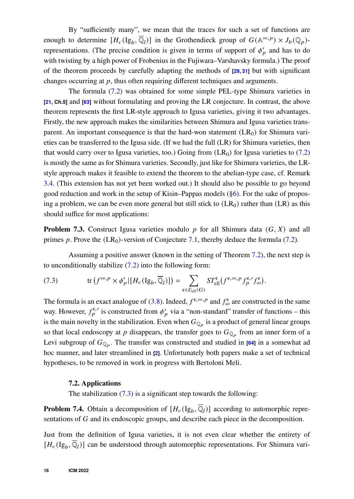By "sufficiently many", we mean that the traces for such a set of functions are enough to determine  $[H_c(\mathrm{Ig}_b, \overline{\mathbb{Q}}_l)]$  in the Grothendieck group of  $G(\mathbb{A}^{\infty, p}) \times J_b(\mathbb{Q}_p)$ representations. (The precise condition is given in terms of support of  $\phi'_p$  and has to do with twisting by a high power of Frobenius in the Fujiwara–Varshavsky formula.) The proof of the theorem proceeds by carefully adapting the methods of **[\[29,](#page-19-4) [31\]](#page-19-0)** but with significant changes occurring at  $p$ , thus often requiring different techniques and arguments.

The formula [\(7.2\)](#page-14-1) was obtained for some simple PEL-type Shimura varieties in **[\[21,](#page-19-15) Ch.5]** and **[\[63\]](#page-21-13)** without formulating and proving the LR conjecture. In contrast, the above theorem represents the first LR-style approach to Igusa varieties, giving it two advantages. Firstly, the new approach makes the similarities between Shimura and Igusa varieties transparent. An important consequence is that the hard-won statement  $(LR_0)$  for Shimura varieties can be transferred to the Igusa side. (If we had the full (LR) for Shimura varieties, then that would carry over to Igusa varieties, too.) Going from  $(LR_0)$  for Igusa varieties to [\(7.2\)](#page-14-1) is mostly the same as for Shimura varieties. Secondly, just like for Shimura varieties, the LRstyle approach makes it feasible to extend the theorem to the abelian-type case, cf. Remark [3.4.](#page-7-4) (This extension has not yet been worked out.) It should also be possible to go beyond good reduction and work in the setup of Kisin–Pappas models ([§6\)](#page-11-0). For the sake of proposing a problem, we can be even more general but still stick to  $(LR_0)$  rather than  $(LR)$  as this should suffice for most applications:

**Problem 7.3.** Construct Igusa varieties modulo  $p$  for all Shimura data  $(G, X)$  and all primes p. Prove the  $(LR_0)$ -version of Conjecture [7.1,](#page-14-0) thereby deduce the formula [\(7.2\)](#page-14-1).

Assuming a positive answer (known in the setting of Theorem [7.2\)](#page-14-2), the next step is to unconditionally stabilize [\(7.2\)](#page-14-1) into the following form:

<span id="page-15-0"></span>(7.3) 
$$
\operatorname{tr} (f^{\infty, p} \times \phi'_p | [H_c(\mathrm{Ig}_b, \overline{\mathbb{Q}}_l)] ) = \sum_{\mathrm{e} \in \mathcal{E}_{\mathrm{ell}}(G)} ST_{\mathrm{ell}}^{\mathrm{e}}(f^{\mathrm{e}, \infty, p} f_p^{\mathrm{e}, \prime} f_\infty^{\mathrm{e}}).
$$

The formula is an exact analogue of [\(3.8\)](#page-7-2). Indeed,  $f^{\epsilon,\infty,p}$  and  $f^{\epsilon}_{\infty}$  are constructed in the same way. However,  $f_p^{\epsilon, \prime}$  is constructed from  $\phi'_p$  via a "non-standard" transfer of functions – this is the main novelty in the stabilization. Even when  $G_{\mathbb{Q}_p}$  is a product of general linear groups so that local endoscopy at p disappears, the transfer goes to  $G_{\mathbb{Q}_p}$  from an inner form of a Levi subgroup of  $G_{\mathbb{Q}_p}$ . The transfer was constructed and studied in  $[64]$  in a somewhat ad hoc manner, and later streamlined in **[\[2\]](#page-17-1)**. Unfortunately both papers make a set of technical hypotheses, to be removed in work in progress with Bertoloni Meli.

## **7.2. Applications**

The stabilization  $(7.3)$  is a significant step towards the following:

<span id="page-15-1"></span>**Problem 7.4.** Obtain a decomposition of  $[H_c(\mathrm{Ig}_b, \overline{\mathbb{Q}}_l)]$  according to automorphic representations of  $G$  and its endoscopic groups, and describe each piece in the decomposition.

Just from the definition of Igusa varieties, it is not even clear whether the entirety of  $[H_c(\mathrm{Ig}_b, \overline{\mathbb{Q}}_l)]$  can be understood through automorphic representations. For Shimura vari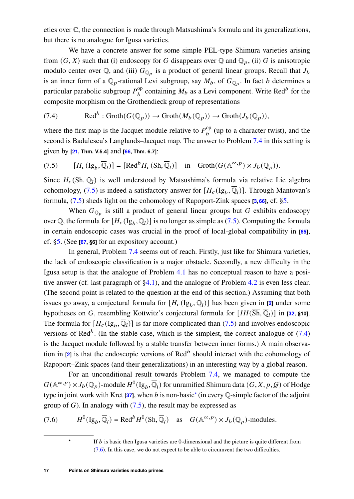eties over C, the connection is made through Matsushima's formula and its generalizations, but there is no analogue for Igusa varieties.

We have a concrete answer for some simple PEL-type Shimura varieties arising from  $(G, X)$  such that (i) endoscopy for G disappears over Q and  $\mathbb{Q}_p$ , (ii) G is anisotropic modulo center over Q, and (iii)  $G_{\mathbb{Q}_p}$  is a product of general linear groups. Recall that  $J_b$ is an inner form of a  $\mathbb{Q}_p$ -rational Levi subgroup, say  $M_b$ , of  $G_{\mathbb{Q}_p}$ . In fact b determines a particular parabolic subgroup  $P_b^{\text{op}}$  containing  $M_b$  as a Levi component. Write Red<sup>b</sup> for the composite morphism on the Grothendieck group of representations

<span id="page-16-1"></span>(7.4) 
$$
\text{Red}^{b} : \text{Groth}(G(\mathbb{Q}_p)) \to \text{Groth}(M_b(\mathbb{Q}_p)) \to \text{Groth}(J_b(\mathbb{Q}_p)),
$$

where the first map is the Jacquet module relative to  $P_b^{\rm op}$  (up to a character twist), and the second is Badulescu's Langlands–Jacquet map. The answer to Problem [7.4](#page-15-1) in this setting is given by **[\[21,](#page-19-15) Thm. V.5.4]** and **[\[66,](#page-21-6) Thm. 6.7]**:

<span id="page-16-0"></span>(7.5) 
$$
[H_c(\mathrm{Ig}_b, \overline{\mathbb{Q}}_l)] = [\mathrm{Red}^b H_c(\mathrm{Sh}, \overline{\mathbb{Q}}_l)] \quad \text{in} \quad \mathrm{Groth}(G(\mathbb{A}^{\infty, p}) \times J_b(\mathbb{Q}_p)).
$$

Since  $H_c(\text{Sh}, \overline{\mathbb{Q}}_l)$  is well understood by Matsushima's formula via relative Lie algebra cohomology, [\(7.5\)](#page-16-0) is indeed a satisfactory answer for  $[H_c(\mathrm{Ig}_b, \overline{\mathbb{Q}}_l)]$ . Through Mantovan's formula, [\(7.5\)](#page-16-0) sheds light on the cohomology of Rapoport-Zink spaces **[\[3,](#page-17-2)[66\]](#page-21-6)**, cf. [§5.](#page-10-0)

When  $G_{\mathbb{Q}_p}$  is still a product of general linear groups but G exhibits endoscopy over Q, the formula for  $[H_c(\mathrm{Ig}_b,\overline{\mathbb{Q}}_l)]$  is no longer as simple as [\(7.5\)](#page-16-0). Computing the formula in certain endoscopic cases was crucial in the proof of local-global compatibility in **[\[65\]](#page-21-5)**, cf. [§5.](#page-10-0) (See **[\[67,](#page-21-3) §6]** for an expository account.)

In general, Problem [7.4](#page-15-1) seems out of reach. Firstly, just like for Shimura varieties, the lack of endoscopic classification is a major obstacle. Secondly, a new difficulty in the Igusa setup is that the analogue of Problem [4.1](#page-8-2) has no conceptual reason to have a positive answer (cf. last paragraph of [§4.1\)](#page-7-3), and the analogue of Problem [4.2](#page-8-3) is even less clear. (The second point is related to the question at the end of this section.) Assuming that both issues go away, a conjectural formula for  $[H_c(\mathrm{Ig}_b, \overline{\mathbb{Q}}_l)]$  has been given in [\[2\]](#page-17-1) under some hypotheses on G, resembling Kottwitz's conjectural formula for  $[IH(\overline{Sh}, \overline{Q}_l)]$  in [\[32,](#page-19-5) §10]. The formula for  $[H_c(\lg_b, \overline{\mathbb{Q}}_l)]$  is far more complicated than [\(7.5\)](#page-16-0) and involves endoscopic versions of Red<sup>b</sup>. (In the stable case, which is the simplest, the correct analogue of  $(7.4)$ is the Jacquet module followed by a stable transfer between inner forms.) A main observation in  $[2]$  is that the endoscopic versions of  $\text{Red}^b$  should interact with the cohomology of Rapoport–Zink spaces (and their generalizations) in an interesting way by a global reason.

For an unconditional result towards Problem [7.4,](#page-15-1) we managed to compute the  $G(\mathbb{A}^{\infty,p}) \times J_b(\mathbb{Q}_p)$ -module  $H^0(\mathrm{Ig}_b, \overline{\mathbb{Q}}_l)$  for unramified Shimura data  $(G, X, p, \mathcal{G})$  of Hodge type in joint work with Kret  $[37]$ , when b is non-basic<sup>[\\*](#page-16-2)</sup> (in every Q-simple factor of the adjoint group of  $G$ ). In analogy with  $(7.5)$ , the result may be expressed as

(7.6) 
$$
H^{0}(\mathrm{Ig}_{b}, \overline{\mathbb{Q}}_{l}) = \text{Red}^{b} H^{0}(\mathrm{Sh}, \overline{\mathbb{Q}}_{l}) \text{ as } G(\mathbb{A}^{\infty, p}) \times J_{b}(\mathbb{Q}_{p}) \text{-modules.}
$$

<span id="page-16-3"></span><span id="page-16-2"></span>If  *is basic then Igusa varieties are 0-dimensional and the picture is quite different from* [\(7.6\)](#page-16-3). In this case, we do not expect to be able to circumvent the two difficulties.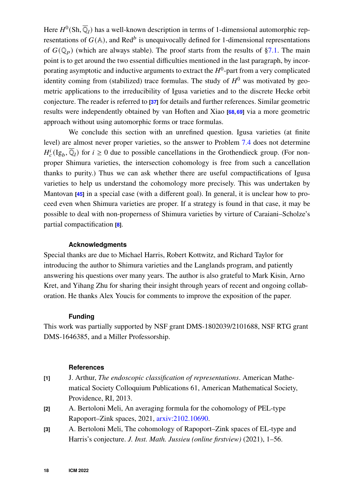Here  $H^0(\text{Sh}, \overline{\mathbb{Q}}_l)$  has a well-known description in terms of 1-dimensional automorphic representations of  $G(\mathbb{A})$ , and Red<sup>b</sup> is unequivocally defined for 1-dimensional representations of  $G(\mathbb{Q}_n)$  (which are always stable). The proof starts from the results of [§7.1.](#page-13-1) The main point is to get around the two essential difficulties mentioned in the last paragraph, by incorporating asymptotic and inductive arguments to extract the  $H^0$ -part from a very complicated identity coming from (stabilized) trace formulas. The study of  $H^0$  was motivated by geometric applications to the irreducibility of Igusa varieties and to the discrete Hecke orbit conjecture. The reader is referred to **[\[37\]](#page-19-18)** for details and further references. Similar geometric results were independently obtained by van Hoften and Xiao **[\[68,](#page-21-11) [69\]](#page-21-15)** via a more geometric approach without using automorphic forms or trace formulas.

We conclude this section with an unrefined question. Igusa varieties (at finite level) are almost never proper varieties, so the answer to Problem [7.4](#page-15-1) does not determine  $H_c^i(Ig_b, \overline{Q}_l)$  for  $i \geq 0$  due to possible cancellations in the Grothendieck group. (For nonproper Shimura varieties, the intersection cohomology is free from such a cancellation thanks to purity.) Thus we can ask whether there are useful compactifications of Igusa varieties to help us understand the cohomology more precisely. This was undertaken by Mantovan **[\[45\]](#page-20-17)** in a special case (with a different goal). In general, it is unclear how to proceed even when Shimura varieties are proper. If a strategy is found in that case, it may be possible to deal with non-properness of Shimura varieties by virture of Caraiani–Scholze's partial compactification **[\[8\]](#page-18-16)**.

#### **Acknowledgments**

Special thanks are due to Michael Harris, Robert Kottwitz, and Richard Taylor for introducing the author to Shimura varieties and the Langlands program, and patiently answering his questions over many years. The author is also grateful to Mark Kisin, Arno Kret, and Yihang Zhu for sharing their insight through years of recent and ongoing collaboration. He thanks Alex Youcis for comments to improve the exposition of the paper.

#### **Funding**

This work was partially supported by NSF grant DMS-1802039/2101688, NSF RTG grant DMS-1646385, and a Miller Professorship.

## **References**

- <span id="page-17-0"></span>**[1]** J. Arthur, *The endoscopic classification of representations*. American Mathematical Society Colloquium Publications 61, American Mathematical Society, Providence, RI, 2013.
- <span id="page-17-1"></span>**[2]** A. Bertoloni Meli, An averaging formula for the cohomology of PEL-type Rapoport–Zink spaces, 2021, [arxiv:2102.10690.](https://arxiv.org/abs/2102.10690)
- <span id="page-17-2"></span>**[3]** A. Bertoloni Meli, The cohomology of Rapoport–Zink spaces of EL-type and Harris's conjecture. *J. Inst. Math. Jussieu (online firstview)* (2021), 1–56.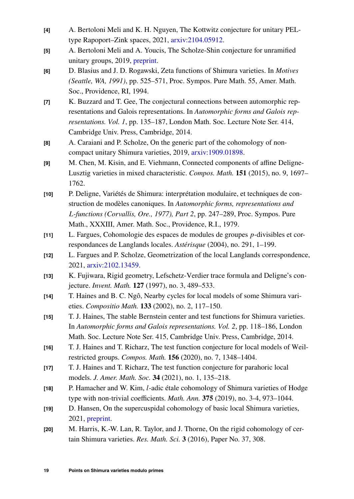- <span id="page-18-10"></span>**[4]** A. Bertoloni Meli and K. H. Nguyen, The Kottwitz conjecture for unitary PELtype Rapoport–Zink spaces, 2021, [arxiv:2104.05912.](https://arxiv.org/abs/2104.05912)
- <span id="page-18-11"></span>**[5]** A. Bertoloni Meli and A. Youcis, The Scholze-Shin conjecture for unramified unitary groups, 2019, [preprint.](http://www-personal.umich.edu/~abertolo/Scholze_Shin_Conjecture_for_Unitary_Groups__No_Endoscopy.pdf)
- <span id="page-18-3"></span>**[6]** D. Blasius and J. D. Rogawski, Zeta functions of Shimura varieties. In *Motives (Seattle, WA, 1991)*, pp. 525–571, Proc. Sympos. Pure Math. 55, Amer. Math. Soc., Providence, RI, 1994.
- <span id="page-18-4"></span>**[7]** K. Buzzard and T. Gee, The conjectural connections between automorphic representations and Galois representations. In *Automorphic forms and Galois representations. Vol. 1*, pp. 135–187, London Math. Soc. Lecture Note Ser. 414, Cambridge Univ. Press, Cambridge, 2014.
- <span id="page-18-16"></span>**[8]** A. Caraiani and P. Scholze, On the generic part of the cohomology of noncompact unitary Shimura varieties, 2019, [arxiv:1909.01898.](https://arxiv.org/abs/1909.01898)
- <span id="page-18-1"></span>**[9]** M. Chen, M. Kisin, and E. Viehmann, Connected components of affine Deligne-Lusztig varieties in mixed characteristic. *Compos. Math.* **151** (2015), no. 9, 1697– 1762.
- <span id="page-18-0"></span>**[10]** P. Deligne, Variétés de Shimura: interprétation modulaire, et techniques de construction de modèles canoniques. In *Automorphic forms, representations and* L-functions (Corvallis, Ore., 1977), Part 2, pp. 247–289, Proc. Sympos. Pure Math., XXXIII, Amer. Math. Soc., Providence, R.I., 1979.
- <span id="page-18-6"></span>[11] L. Fargues, Cohomologie des espaces de modules de groupes p-divisibles et correspondances de Langlands locales. *Astérisque* (2004), no. 291, 1–199.
- <span id="page-18-8"></span>**[12]** L. Fargues and P. Scholze, Geometrization of the local Langlands correspondence, 2021, [arxiv:2102.13459.](https://arxiv.org/abs/2102.13459)
- <span id="page-18-2"></span>**[13]** K. Fujiwara, Rigid geometry, Lefschetz-Verdier trace formula and Deligne's conjecture. *Invent. Math.* **127** (1997), no. 3, 489–533.
- <span id="page-18-13"></span>**[14]** T. Haines and B. C. Ngô, Nearby cycles for local models of some Shimura varieties. *Compositio Math.* **133** (2002), no. 2, 117–150.
- <span id="page-18-12"></span>**[15]** T. J. Haines, The stable Bernstein center and test functions for Shimura varieties. In *Automorphic forms and Galois representations. Vol. 2*, pp. 118–186, London Math. Soc. Lecture Note Ser. 415, Cambridge Univ. Press, Cambridge, 2014.
- <span id="page-18-14"></span>**[16]** T. J. Haines and T. Richarz, The test function conjecture for local models of Weilrestricted groups. *Compos. Math.* **156** (2020), no. 7, 1348–1404.
- <span id="page-18-15"></span>**[17]** T. J. Haines and T. Richarz, The test function conjecture for parahoric local models. *J. Amer. Math. Soc.* **34** (2021), no. 1, 135–218.
- <span id="page-18-9"></span>[18] P. Hamacher and W. Kim, *l*-adic étale cohomology of Shimura varieties of Hodge type with non-trivial coefficients. *Math. Ann.* **375** (2019), no. 3-4, 973–1044.
- <span id="page-18-7"></span>**[19]** D. Hansen, On the supercuspidal cohomology of basic local Shimura varieties, 2021, [preprint.](http://www.davidrenshawhansen.com/middle.pdf)
- <span id="page-18-5"></span>**[20]** M. Harris, K.-W. Lan, R. Taylor, and J. Thorne, On the rigid cohomology of certain Shimura varieties. *Res. Math. Sci.* **3** (2016), Paper No. 37, 308.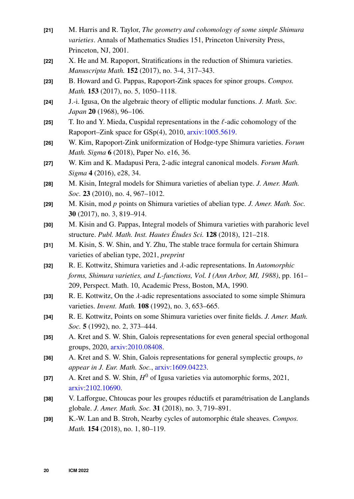- <span id="page-19-15"></span>**[21]** M. Harris and R. Taylor, *The geometry and cohomology of some simple Shimura varieties*. Annals of Mathematics Studies 151, Princeton University Press, Princeton, NJ, 2001.
- <span id="page-19-11"></span>**[22]** X. He and M. Rapoport, Stratifications in the reduction of Shimura varieties. *Manuscripta Math.* **152** (2017), no. 3-4, 317–343.
- <span id="page-19-12"></span>**[23]** B. Howard and G. Pappas, Rapoport-Zink spaces for spinor groups. *Compos. Math.* **153** (2017), no. 5, 1050–1118.
- <span id="page-19-17"></span>**[24]** J.-i. Igusa, On the algebraic theory of elliptic modular functions. *J. Math. Soc. Japan* **20** (1968), 96–106.
- <span id="page-19-14"></span>**[25]** T. Ito and Y. Mieda, Cuspidal representations in the ℓ-adic cohomology of the Rapoport–Zink space for GSp(4), 2010, [arxiv:1005.5619.](https://arxiv.org/abs/1005.5619)
- <span id="page-19-13"></span>**[26]** W. Kim, Rapoport-Zink uniformization of Hodge-type Shimura varieties. *Forum Math. Sigma* **6** (2018), Paper No. e16, 36.
- <span id="page-19-2"></span>**[27]** W. Kim and K. Madapusi Pera, 2-adic integral canonical models. *Forum Math. Sigma* **4** (2016), e28, 34.
- <span id="page-19-1"></span>**[28]** M. Kisin, Integral models for Shimura varieties of abelian type. *J. Amer. Math. Soc.* **23** (2010), no. 4, 967–1012.
- <span id="page-19-4"></span>**[29]** M. Kisin, mod 𝑝 points on Shimura varieties of abelian type. *J. Amer. Math. Soc.* **30** (2017), no. 3, 819–914.
- <span id="page-19-16"></span>**[30]** M. Kisin and G. Pappas, Integral models of Shimura varieties with parahoric level structure. *Publ. Math. Inst. Hautes Études Sci.* **128** (2018), 121–218.
- <span id="page-19-0"></span>**[31]** M. Kisin, S. W. Shin, and Y. Zhu, The stable trace formula for certain Shimura varieties of abelian type, 2021, *preprint*
- <span id="page-19-5"></span>[32] R. E. Kottwitz, Shimura varieties and  $\lambda$ -adic representations. In *Automorphic forms, Shimura varieties, and L-functions, Vol. I (Ann Arbor, MI, 1988), pp. 161–* 209, Perspect. Math. 10, Academic Press, Boston, MA, 1990.
- <span id="page-19-7"></span>[33] R. E. Kottwitz, On the  $\lambda$ -adic representations associated to some simple Shimura varieties. *Invent. Math.* **108** (1992), no. 3, 653–665.
- <span id="page-19-3"></span>**[34]** R. E. Kottwitz, Points on some Shimura varieties over finite fields. *J. Amer. Math. Soc.* **5** (1992), no. 2, 373–444.
- <span id="page-19-9"></span>**[35]** A. Kret and S. W. Shin, Galois representations for even general special orthogonal groups, 2020, [arxiv:2010.08408.](https://arxiv.org/abs/2010.08408)
- <span id="page-19-10"></span>**[36]** A. Kret and S. W. Shin, Galois representations for general symplectic groups, *to appear in J. Eur. Math. Soc.*, [arxiv:1609.04223.](https://arxiv.org/abs/1609.04223)
- <span id="page-19-18"></span>[37] A. Kret and S. W. Shin,  $H^0$  of Igusa varieties via automorphic forms, 2021, [arxiv:2102.10690.](https://arxiv.org/abs/2102.10690)
- <span id="page-19-8"></span>**[38]** V. Lafforgue, Chtoucas pour les groupes réductifs et paramétrisation de Langlands globale. *J. Amer. Math. Soc.* **31** (2018), no. 3, 719–891.
- <span id="page-19-6"></span>**[39]** K.-W. Lan and B. Stroh, Nearby cycles of automorphic étale sheaves. *Compos. Math.* **154** (2018), no. 1, 80–119.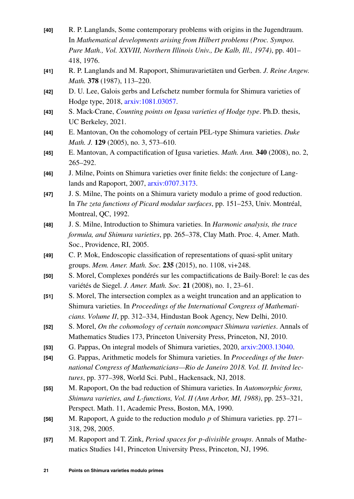- <span id="page-20-9"></span>**[40]** R. P. Langlands, Some contemporary problems with origins in the Jugendtraum. In *Mathematical developments arising from Hilbert problems (Proc. Sympos. Pure Math., Vol. XXVIII, Northern Illinois Univ., De Kalb, Ill., 1974)*, pp. 401– 418, 1976.
- <span id="page-20-1"></span>**[41]** R. P. Langlands and M. Rapoport, Shimuravarietäten und Gerben. *J. Reine Angew. Math.* **378** (1987), 113–220.
- <span id="page-20-4"></span>**[42]** D. U. Lee, Galois gerbs and Lefschetz number formula for Shimura varieties of Hodge type, 2018, [arxiv:1081.03057.](https://arxiv.org/abs/1801.03057)
- <span id="page-20-16"></span>**[43]** S. Mack-Crane, *Counting points on Igusa varieties of Hodge type*. Ph.D. thesis, UC Berkeley, 2021.
- <span id="page-20-12"></span>**[44]** E. Mantovan, On the cohomology of certain PEL-type Shimura varieties. *Duke Math. J.* **129** (2005), no. 3, 573–610.
- <span id="page-20-17"></span>**[45]** E. Mantovan, A compactification of Igusa varieties. *Math. Ann.* **340** (2008), no. 2, 265–292.
- <span id="page-20-5"></span>**[46]** J. Milne, Points on Shimura varieties over finite fields: the conjecture of Langlands and Rapoport, 2007, [arxiv:0707.3173.](https://arxiv.org/abs/0707.3173)
- <span id="page-20-3"></span>**[47]** J. S. Milne, The points on a Shimura variety modulo a prime of good reduction. In *The zeta functions of Picard modular surfaces*, pp. 151–253, Univ. Montréal, Montreal, QC, 1992.
- <span id="page-20-0"></span>**[48]** J. S. Milne, Introduction to Shimura varieties. In *Harmonic analysis, the trace formula, and Shimura varieties*, pp. 265–378, Clay Math. Proc. 4, Amer. Math. Soc., Providence, RI, 2005.
- <span id="page-20-10"></span>**[49]** C. P. Mok, Endoscopic classification of representations of quasi-split unitary groups. *Mem. Amer. Math. Soc.* **235** (2015), no. 1108, vi+248.
- <span id="page-20-7"></span>**[50]** S. Morel, Complexes pondérés sur les compactifications de Baily-Borel: le cas des variétés de Siegel. *J. Amer. Math. Soc.* **21** (2008), no. 1, 23–61.
- <span id="page-20-6"></span>**[51]** S. Morel, The intersection complex as a weight truncation and an application to Shimura varieties. In *Proceedings of the International Congress of Mathematicians. Volume II*, pp. 312–334, Hindustan Book Agency, New Delhi, 2010.
- <span id="page-20-8"></span>**[52]** S. Morel, *On the cohomology of certain noncompact Shimura varieties*. Annals of Mathematics Studies 173, Princeton University Press, Princeton, NJ, 2010.
- <span id="page-20-14"></span>**[53]** G. Pappas, On integral models of Shimura varieties, 2020, [arxiv:2003.13040.](https://arxiv.org/abs/2003.13040)
- <span id="page-20-13"></span>**[54]** G. Pappas, Arithmetic models for Shimura varieties. In *Proceedings of the International Congress of Mathematicians—Rio de Janeiro 2018. Vol. II. Invited lectures*, pp. 377–398, World Sci. Publ., Hackensack, NJ, 2018.
- <span id="page-20-15"></span>**[55]** M. Rapoport, On the bad reduction of Shimura varieties. In *Automorphic forms, Shimura varieties, and L-functions, Vol. II (Ann Arbor, MI, 1988), pp. 253–321,* Perspect. Math. 11, Academic Press, Boston, MA, 1990.
- <span id="page-20-2"></span>**[56]** M. Rapoport, A guide to the reduction modulo p of Shimura varieties. pp. 271– 318, 298, 2005.
- <span id="page-20-11"></span>[57] M. Rapoport and T. Zink, *Period spaces for p-divisible groups*. Annals of Mathematics Studies 141, Princeton University Press, Princeton, NJ, 1996.